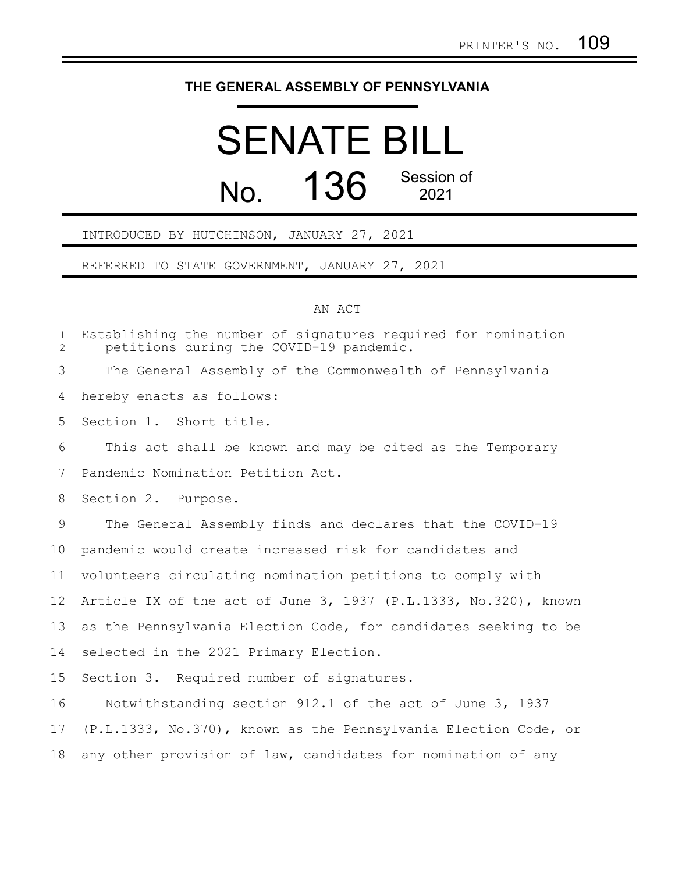## **THE GENERAL ASSEMBLY OF PENNSYLVANIA**

## SENATE BILL  $N<sub>0</sub>$  136 Session of 2021

INTRODUCED BY HUTCHINSON, JANUARY 27, 2021

REFERRED TO STATE GOVERNMENT, JANUARY 27, 2021

## AN ACT

Establishing the number of signatures required for nomination petitions during the COVID-19 pandemic. The General Assembly of the Commonwealth of Pennsylvania hereby enacts as follows: Section 1. Short title. This act shall be known and may be cited as the Temporary Pandemic Nomination Petition Act. Section 2. Purpose. The General Assembly finds and declares that the COVID-19 pandemic would create increased risk for candidates and volunteers circulating nomination petitions to comply with Article IX of the act of June 3, 1937 (P.L.1333, No.320), known as the Pennsylvania Election Code, for candidates seeking to be selected in the 2021 Primary Election. Section 3. Required number of signatures. Notwithstanding section 912.1 of the act of June 3, 1937 (P.L.1333, No.370), known as the Pennsylvania Election Code, or any other provision of law, candidates for nomination of any 1 2 3 4 5 6 7 8 9 10 11 12 13 14 15 16 17 18